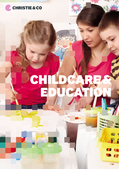

# CHILDCA EDUCATION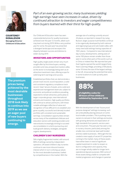

**COURTENEY DONALDSON Managing Director Childcare & Education**

> **The premium prices being achieved by the most desirable businesses throughout 2018 look likely to continue into 2019 as we see an eager pool of new buyers continuing to emerge.**

*Part of an ever-growing sector, many businesses yielding high earnings have seen increases in value, driven by continued attraction to investors and eager competitiveness from buyers teamed with their thirst for high quality.*

Our Childcare & Education team has seen unprecedented prices for quality businesses achieved over the past 12 months, albeit such may level out during 2019. While a very positive year for some, the past year has presented a divergent landscape and we expect the disparity between success and distress to widen during 2019.

# **INVESTORS AND OPPORTUNITIES**

High quality single assets remain very much sought after by first-time buyers, existing providers and new, prospective investors alike, as the sector is increasingly being seen as an attractive investment class, offering scope for solid long-term earnings and success.

Established portfolios that can demonstrate a proven track record, sound reputation, a solid and consistent regulatory compliance track record, 'clean' tenure of assets, and a solid and experienced management team are, subject to economic and political conditions prevailing, expected to remain attractive, particularly to larger corporate groups, new international entrants and investors. High quality portfolios will continue to attract premiums, with these notable arbitrages reflective of value and recognition of how difficult it is to establish and grow a quality, successful and densely located portfolio with consistent and sustainable earnings. Consolidation opportunities remain across many of the established childcare and education sectors with existing providers and new entrants increasingly striving to succeed via consolidation in a bid to pursue buy and build growth delivery strategies, alongside organic developments.

# **CHILDREN'S DAY NURSERIES**

Still a highly fragmented market, with around 80% of settings owned by independent operators, UK based children's day nurseries continue to see more inbound investor interest which in turn is driving up values for the most desirable businesses, fuelled by competitiveness in the market. With the

average size of a setting currently around 44 places, as reported in research by Laing Buisson, larger, purpose-built facilities continue to be organically developed by both national and regional groups and sole traders alike, with many new build settings having capacities of 100+ places. Compared to new international day nursery developments, setting sizes of some 100 places remain smaller than those seen in some other parts of the world, such as in China or indeed Asia. We reported last year that Cognita opened the world's largest Early Years Learning Village, providing 2,100 places, some 10 times the size of the largest settings in the UK, showcasing the potential that exists in some locations to scale up early years businesses.

# **88%**

**of eligibility codes for 30 hours of free childcare validated by September 2018**

With the development of new 'future proof, purpose designed' settings increasing, such are undoubtedly placing pressure on some local smaller providers. This is pushing many owners to reinvest in their settings and evolve, with growing demands and expectation of high standards from parents, service users and consumers. The past year has seen a rise in nursery closures, particularly among the smaller, less commercial, least well-funded and less viable businesses. Although this has created a new supply of vacant D1 properties coming to the market, many of these assets have either been in need of significant capital investment in order to reopen or, due to configuration and capacity, they are no longer wholly viable for longer term operational daycare purposes. With some of those assets being unable to compete with market progression and changes in parental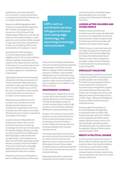expectations, some have reverted to prior use, which in many cases has been conversation back to historical former use as a single residential dwelling.

Research by NDNA highlighted a 66% increase in closures between September 2017 to 2018, attributing this to the introduction of the 30 hours of free childcare policy. While we can see that the policy has had a material impact on many operators, some have been better prepared to cope with it than others, dependent on location, service offering, USPs and the commerciality of the operator or owner.

As at September 2018, following a 12-month implementation, 88% of eligibility codes for 30 hours free childcare had been validated, showing that the majority of the impact the policy has had on the sector has occurred, however there is scope for additional pressure as takeup reaches capacity for Local Authority funded places.

A growing trend has been the increasing introduction of full day care provision on primary school sites. Maintained sector nurseries in many cases have historically been in receipt of higher local authority fee rates, in comparison to rates awarded to the private sector, we have seen an increase in school-based provision.

Historically having offered term time provision, there is evidence of school settings striving to become more commercial in extending from term time to full day care, with wrap around services, albeit private sector provision is typically far more adept in this respect.

As owners strive to differentiate their business from others, USPs, such as enrichment services, are becoming increasingly important and more prevalent. For example, bilingual offerings, provided by London-based Chinese-English group Hatching Dragons, skills development through skiing or swimming lessons as offered by North West regional group Kids Allowed, or sensory immersive children's activity rooms fitted with cutting edge augmented reality, as found in newly opened Rocket Productions, Chelsea.

Fixed costs continue to increase year on year for staffing, operations, and business

**USPs, such as enrichment services, bilingual curriculum and cutting edge technology, are becoming increasingly more prevalent.** 

rates, and so warranting sustainable fee rates and increasing operational capacities are potentially routes which could be taken to mitigate or offset sustainability pressures. Post Brexit, scope to review staffing ratios and re-examine floor area utilisation would be welcomed, awarding operators wider choice and flexibility in order to operate in a more efficient, costeffective manner.

# **INDEPENDENT SCHOOLS**

The landscape for independent schools is mixed, with private 'for profit' schools typically falling into one of three groups. The elite and prestigious private UK schools have been able to maintain high occupancy and school fees, assisting in offsetting increasing operational costs.

However, mid-market schools located in pockets of London, the South East and Home Counties are having to become increasingly commercial in order to ensure a healthy financial operation and ensuring profitability with necessary financial reserves.

The private independent schools which are most at risk are those located outside of London and the South East, with significant erosion in pupil numbers and little capital to reinvest. We anticipate increased evidence of distress during 2019 for this cohort of schools as costs rise and surpluses decrease.

Distressed assets aside, we expect the independent school market to remain strong and activity is anticipated to gain pace especially across mid-market pricing points of between £5 million and £50 million.

# **LOOKED AFTER CHILDREN AND YOUNG PEOPLE**

Children's homes and foster care businesses are continuing to see high levels of activity as the fragmented nature of the market provides a variety of opportunities for trade buyers and investors alike, with demand continuing to outstrip supply.

Children's homes, in particular, look set to see capital value growth during the year ahead. With local authorities beginning to increase their referrals back toward children's homes, there is a significant shortage in supply, and this is expected to fuel demand from business property buyers during 2019.

# **SPECIALIST CHILDCARE**

Trade and investor interest has continued unabated during 2018, as businesses that provide specialist care and education for children and young people continue to draw interest from a wide pool of acquisitive buyers. Alongside this, organic new business developments have been evident, with, amongst many others, 2018 seeing the opening of Brookways School in North Cheam, adding to the Keddleston Group's portfolio of specialist day and residential schools.

Overseas, against the backdrop of the Dubai Disabilities Strategy 2020, an aspirational vision to create a fully inclusive education system for children and young people with SEND is being realised. Riverston School, the first of its kind specifically catering for students with specialist needs or as referenced by the regulator, Children of Determination, opened in Dubai in 2018.

# **BREXIT & POLITICAL CHANGE**

As with any other business, the impact of Brexit is likely to be felt through the overall economic state of the UK and confidence in the country overall. While a weaker pound may fuel inbound activity from overseas investors, domestic opportunities may be impacted as UK owners or investors will seek to divest risk.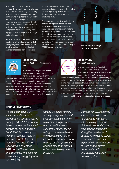Across the Childcare & Education sectors, there may be some challenges with visa issues impacting staff supply or a reduction in consumer supply as families who migrated to the UK might relocate due to changes in policy. However, over many decades, the UK day nursery sector has demonstrated resilience, with the best invested and prepared businesses being best equipped to weather potential change and challenges ahead.

Aside from Brexit, in the event of a snap election and the effect of a potential change in government, which would result in an immediate overhaul of a variety of aspects across both the

nursery and independent school sectors, including reviews of the funding system, regulatory policy, and cost frameworks, could be the greatest challenge of all.

This could be an incentive for business owners, entrepreneurs and returns hungry investors to leave the sectors should political change seem evident and likely to impact on policy, consumer demand, revenue, operations costs, and associated diminution in returns and / or substantial changes to tax positions, control and /or business governance. We could see an influx of sales coming in 2019 if such were to happen.







**CASE STUDY Yellow Dot & Mace Montessori, UK**

> Christie & Co brought both Yellow Dot and Mace Montessori portfolios to the market in 2018, which were

subject to competitive processes and extensive offers from a host of UK, European and wider international buyers from across Asia, Hong Kong and China. Multiple portfolio sales have been brokered by the team this year, but these two transactions are especially noteworthy due to the volume of offers presented by carefully vetted potential buyers in an offmarket process, and the premium tone of offers received.



### **CASE STUDY Project Queen, UK**

A key transaction in the Specialist Childcare sector, Christie & Co was instructed on the portfolio sale of seven residential children's homes and a

specialist school, located across the Midlands and East Anglia, by Direct Care Ltd. The group, a mix of freehold and leasehold, maintained an exceptional reputation and gained substantial interest from a range of regional and national operators when brought to the market, demonstrating the high demand for these types of businesses. It was ultimately purchased by Keys Group, a leading provider of innovative care and education services for children and young people with complex needs.

# **MARKET PREDICTIONS**

*We predict that we will see a marked increase in independent school closures during Q1 & Q2 2019, notably in relation to schools located outside of London and the South East. Particularly with the Teachers' Pension Scheme contribution rate increase from 16.48% to 23.6% from September 2019, this will be a further and potentially final blow for many already struggling with sustainability.* 

*Quality UK single nursery settings and portfolios with solid sustainable earnings will remain sought after, but the void between successful, stagnant and failing businesses will widen. We expect to see further competition as more schoolbased providers presently offering reception classes extend into full day care provision.*

*Demand for UK residential schools for children and young adults with SEND will remain high and the children's residential care market will increasingly strengthen, as demand continues to exceed supply. Foster care businesses, especially those with access to large cohort family placements, will also continue to attract premium prices.*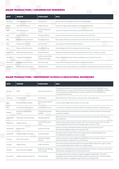# **MAJOR TRANSACTIONS / CHILDRENS DAY NURSERIES**

| <b>DATE</b> | <b>VENDOR</b>                   | <b>PURCHASER</b>                                 | <b>DEAL</b>                                                                               |
|-------------|---------------------------------|--------------------------------------------------|-------------------------------------------------------------------------------------------|
| February    | <b>Little Rascals Nurseries</b> | <b>ICP Nurseries</b>                             | Group of two outstanding nurseries in Tunbridge Wells                                     |
| March       | Yellow Dot Group Ltd            | <b>Bright Horizons</b>                           | Group of 12 high quality settings in and around Hampshire                                 |
| April       | <b>Elan Nurseries Ltd</b>       | Cranbrook Nursery<br>Group                       | Group of 3 Impressive Nurseries Located in the South East                                 |
| April       | <b>Playtime Nurseries</b>       | All about Children                               | Group of three impressive nurseries located in the South East                             |
| May         | Mace Montessori Schools         | <b>Busy Bees Group</b>                           | Nine high profile day nurseries with one school, all in Central London                    |
| May         | Abbeywood Tots Ltd              | lust Childcare                                   | Four premium leasehold settings in Bristol                                                |
| July        | Daisy and Jake Nurseries        | <b>Busy Bees Group</b>                           | Expanding group of six thriving purpose built settings                                    |
| September   | Miss Daisy Nursery Group        | Dukes Education                                  | Purchase of Miss Daisy's Group, comprising four premium nurseries in London               |
| October     | <b>Headstart Nurseries Ltd</b>  | Kiddi Caru/Les Petits<br><b>Chaperons Rouges</b> | Group of four exceptional childcare settings across the Home Counties                     |
| November    | Swingboat Nurseries Ltd         | Storal Learning                                  | Group of three exceptional freehold nurseries in Derbyshire                               |
| November    | Elmwood Nursery School          | Hjalli Model Ltd                                 | 87 place nursery sold to Icelandic nursery group, marking their first venture into the UK |

# **MAJOR TRANSACTIONS / INDEPENDENT SCHOOLS & EDUCATIONAL BUSINESSES**

| <b>DATE</b> | <b>VENDOR</b>                     | <b>PURCHASER</b>                       | <b>DEAL</b>                                                                                                                                                                                                                                                                |
|-------------|-----------------------------------|----------------------------------------|----------------------------------------------------------------------------------------------------------------------------------------------------------------------------------------------------------------------------------------------------------------------------|
| January     | GDST                              | Ipswich Education Ltd                  | A long standing all girls school purchased by Ipswich Education Ltd led by London<br>and Oxford Group. London Oxford Group was founded by Swiss corporation bankers<br>and is backed by China Wanda Group. Upon completion the School became a<br>co-educational provision |
| February    | Rosemary Edie                     | Robin Batlen                           | Sale of Hazel Hurst Prep School, a closed school in Nottinghamshire                                                                                                                                                                                                        |
| July        | Richard & Marzena Mace            | Malvern International<br>PLC.          | Communicate English School sold in a £2.34m deal                                                                                                                                                                                                                           |
| July        | <b>Prowting Family Concerns</b>   | Heather Partnership                    | A consortium of parents purchased Heathcote Preparatory School in Danbury, Essex                                                                                                                                                                                           |
| August      | Windrush Valley School<br>Limited | Fung King Jacqueline<br><b>CHUNG</b>   | Windrush Valley School in Oxford was purchased by a Chinese investor with education<br>investment interests                                                                                                                                                                |
| September   | Westonbirt Schools Limited        | <b>Wishford Schools</b>                | Westonbirt School, an independent day and boarding school for girls near Tetbury in<br>Gloucestershire                                                                                                                                                                     |
| September   | St Bees School                    | <b>Full Circle Education</b><br>Group  | St Bees School Cumbria was purchased in 2017 by Chinese investor, Full Circle, and<br>received significant investment to once again open its doors in 2018                                                                                                                 |
| September   | <b>ACG Limited</b>                | Inspired Learning                      | Inspired Learning, a UK based education provider, acquired the K12 unit of<br>New Zealand's largest private school operator, ACG                                                                                                                                           |
| September   | Knightsbridge School Ltd          | Dukes Education                        | Dukes Education acquired 75% or more of the shares in Knightsbridge School,<br>an independent preparatory school in London                                                                                                                                                 |
| October     | <b>PGL Travel Limited</b>         | Midlothian Capital<br>Partners         | Private investment company, Midlothian Capital Partners purchased children's<br>adventure holiday company, PGL, in a £467m deal                                                                                                                                            |
| October     | <b>August Equity</b>              | Dukes Education                        | UK school's operator Dukes Education has acquired Minerva Education, a group of five<br>London-based independent schools, from August Equity                                                                                                                               |
| October     | Bournemouth Collegiate            | Bright Scholar Manage-<br>ment Limited | Bournemouth collegiate was acquired by Bright Scholar, which currently has more than<br>35,000 pupils studying at its 67 schools across China                                                                                                                              |
| December    | Cognita Schools Limited Ltd       | Jacobs Holding                         | The largest education transaction of 2018 was agreed in September. The sale of<br>Cognita Schools Limited to Jacobs Holding, a Swiss investment firm, is set to complete<br>imminently, subject to regulatory approval, with a price tag of £2bn                           |